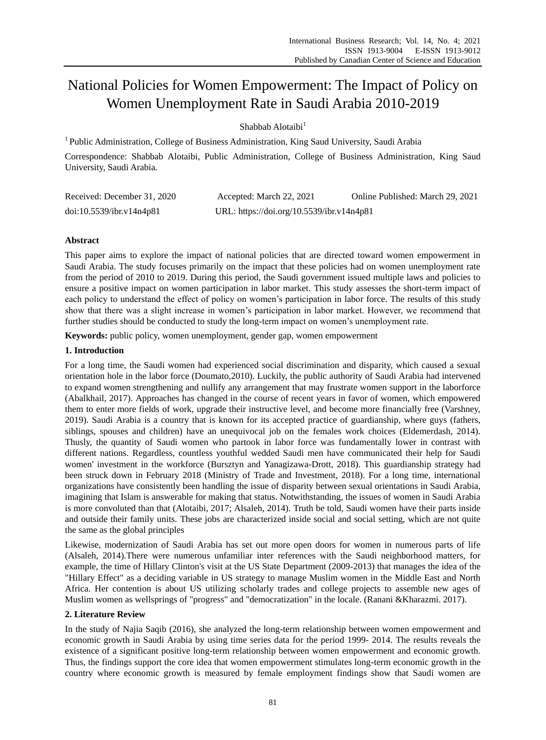# National Policies for Women Empowerment: The Impact of Policy on Women Unemployment Rate in Saudi Arabia 2010-2019

Shabbab Alotaibi<sup>1</sup>

<sup>1</sup> Public Administration, College of Business Administration, King Saud University, Saudi Arabia

Correspondence: Shabbab Alotaibi, Public Administration, College of Business Administration, King Saud University, Saudi Arabia.

| Received: December 31, 2020 | Accepted: March 22, 2021                  | Online Published: March 29, 2021 |
|-----------------------------|-------------------------------------------|----------------------------------|
| doi:10.5539/ibr.v14n4p81    | URL: https://doi.org/10.5539/ibr.v14n4p81 |                                  |

# **Abstract**

This paper aims to explore the impact of national policies that are directed toward women empowerment in Saudi Arabia. The study focuses primarily on the impact that these policies had on women unemployment rate from the period of 2010 to 2019. During this period, the Saudi government issued multiple laws and policies to ensure a positive impact on women participation in labor market. This study assesses the short-term impact of each policy to understand the effect of policy on women's participation in labor force. The results of this study show that there was a slight increase in women's participation in labor market. However, we recommend that further studies should be conducted to study the long-term impact on women's unemployment rate.

**Keywords:** public policy, women unemployment, gender gap, women empowerment

## **1. Introduction**

For a long time, the Saudi women had experienced social discrimination and disparity, which caused a sexual orientation hole in the labor force (Doumato,2010). Luckily, the public authority of Saudi Arabia had intervened to expand women strengthening and nullify any arrangement that may frustrate women support in the laborforce (Abalkhail, 2017). Approaches has changed in the course of recent years in favor of women, which empowered them to enter more fields of work, upgrade their instructive level, and become more financially free (Varshney, 2019). Saudi Arabia is a country that is known for its accepted practice of guardianship, where guys (fathers, siblings, spouses and children) have an unequivocal job on the females work choices (Eldemerdash, 2014). Thusly, the quantity of Saudi women who partook in labor force was fundamentally lower in contrast with different nations. Regardless, countless youthful wedded Saudi men have communicated their help for Saudi women' investment in the workforce (Bursztyn and Yanagizawa-Drott, 2018). This guardianship strategy had been struck down in February 2018 (Ministry of Trade and Investment, 2018). For a long time, international organizations have consistently been handling the issue of disparity between sexual orientations in Saudi Arabia, imagining that Islam is answerable for making that status. Notwithstanding, the issues of women in Saudi Arabia is more convoluted than that (Alotaibi, 2017; Alsaleh, 2014). Truth be told, Saudi women have their parts inside and outside their family units. These jobs are characterized inside social and social setting, which are not quite the same as the global principles

Likewise, modernization of Saudi Arabia has set out more open doors for women in numerous parts of life (Alsaleh, 2014).There were numerous unfamiliar inter references with the Saudi neighborhood matters, for example, the time of Hillary Clinton's visit at the US State Department (2009-2013) that manages the idea of the "Hillary Effect" as a deciding variable in US strategy to manage Muslim women in the Middle East and North Africa. Her contention is about US utilizing scholarly trades and college projects to assemble new ages of Muslim women as wellsprings of "progress" and "democratization" in the locale. (Ranani &Kharazmi. 2017).

## **2. Literature Review**

In the study of Najia Saqib (2016), she analyzed the long-term relationship between women empowerment and economic growth in Saudi Arabia by using time series data for the period 1999- 2014. The results reveals the existence of a significant positive long-term relationship between women empowerment and economic growth. Thus, the findings support the core idea that women empowerment stimulates long-term economic growth in the country where economic growth is measured by female employment findings show that Saudi women are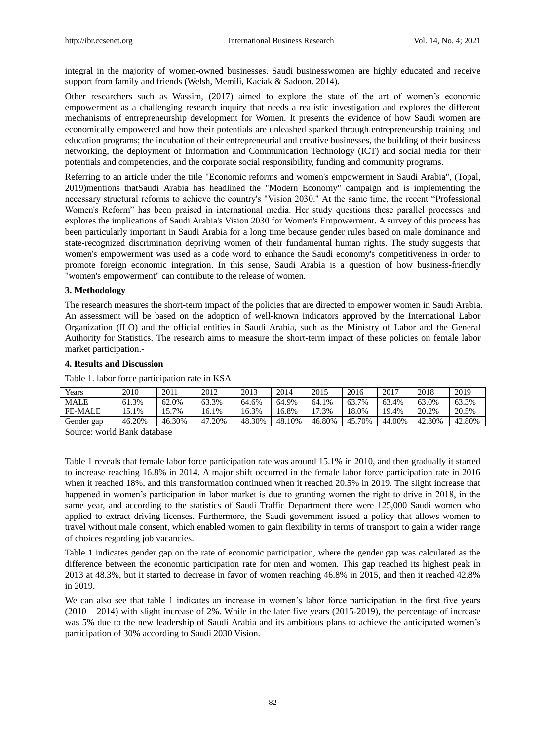integral in the majority of women-owned businesses. Saudi businesswomen are highly educated and receive support from family and friends (Welsh, Memili, Kaciak & Sadoon. 2014).

Other researchers such as Wassim, (2017) aimed to explore the state of the art of women's economic empowerment as a challenging research inquiry that needs a realistic investigation and explores the different mechanisms of entrepreneurship development for Women. It presents the evidence of how Saudi women are economically empowered and how their potentials are unleashed sparked through entrepreneurship training and education programs; the incubation of their entrepreneurial and creative businesses, the building of their business networking, the deployment of Information and Communication Technology (ICT) and social media for their potentials and competencies, and the corporate social responsibility, funding and community programs.

Referring to an article under the title "Economic reforms and women's empowerment in Saudi Arabia", (Topal, 2019)mentions thatSaudi Arabia has headlined the "Modern Economy" campaign and is implementing the necessary structural reforms to achieve the country's "Vision 2030." At the same time, the recent "Professional Women's Reform" has been praised in international media. Her study questions these parallel processes and explores the implications of Saudi Arabia's Vision 2030 for Women's Empowerment. A survey of this process has been particularly important in Saudi Arabia for a long time because gender rules based on male dominance and state-recognized discrimination depriving women of their fundamental human rights. The study suggests that women's empowerment was used as a code word to enhance the Saudi economy's competitiveness in order to promote foreign economic integration. In this sense, Saudi Arabia is a question of how business-friendly "women's empowerment" can contribute to the release of women.

#### **3. Methodology**

The research measures the short-term impact of the policies that are directed to empower women in Saudi Arabia. An assessment will be based on the adoption of well-known indicators approved by the International Labor Organization (ILO) and the official entities in Saudi Arabia, such as the Ministry of Labor and the General Authority for Statistics. The research aims to measure the short-term impact of these policies on female labor market participation.-

#### **4. Results and Discussion**

| Years          | 2010   | 2011   | 2012      | 2013   | 2014   | 2015   | 2016   | 2017        | 2018   | 2019   |
|----------------|--------|--------|-----------|--------|--------|--------|--------|-------------|--------|--------|
| <b>MALE</b>    | 61.3%  | 62.0%  | 63.3%     | 64.6%  | 64.9%  | 64.1%  | 63.7%  | 63.4%       | 63.0%  | 63.3%  |
| <b>FE-MALE</b> | 15.1%  | 5.7%   | 16.1%     | 16.3%  | 16.8%  | 7.3%   | 18.0%  | 19.4%       | 20.2%  | 20.5%  |
| Gender gap     | 46.20% | 46.30% | 20%<br>47 | 48.30% | 48.10% | 46.80% | 45.70% | .00%<br>44. | 42.80% | 42.80% |

Table 1. labor force participation rate in KSA

Source: world Bank database

Table 1 reveals that female labor force participation rate was around 15.1% in 2010, and then gradually it started to increase reaching 16.8% in 2014. A major shift occurred in the female labor force participation rate in 2016 when it reached 18%, and this transformation continued when it reached 20.5% in 2019. The slight increase that happened in women's participation in labor market is due to granting women the right to drive in 2018, in the same year, and according to the statistics of Saudi Traffic Department there were 125,000 Saudi women who applied to extract driving licenses. Furthermore, the Saudi government issued a policy that allows women to travel without male consent, which enabled women to gain flexibility in terms of transport to gain a wider range of choices regarding job vacancies.

Table 1 indicates gender gap on the rate of economic participation, where the gender gap was calculated as the difference between the economic participation rate for men and women. This gap reached its highest peak in 2013 at 48.3%, but it started to decrease in favor of women reaching 46.8% in 2015, and then it reached 42.8% in 2019.

We can also see that table 1 indicates an increase in women's labor force participation in the first five years  $(2010 - 2014)$  with slight increase of 2%. While in the later five years (2015-2019), the percentage of increase was 5% due to the new leadership of Saudi Arabia and its ambitious plans to achieve the anticipated women's participation of 30% according to Saudi 2030 Vision.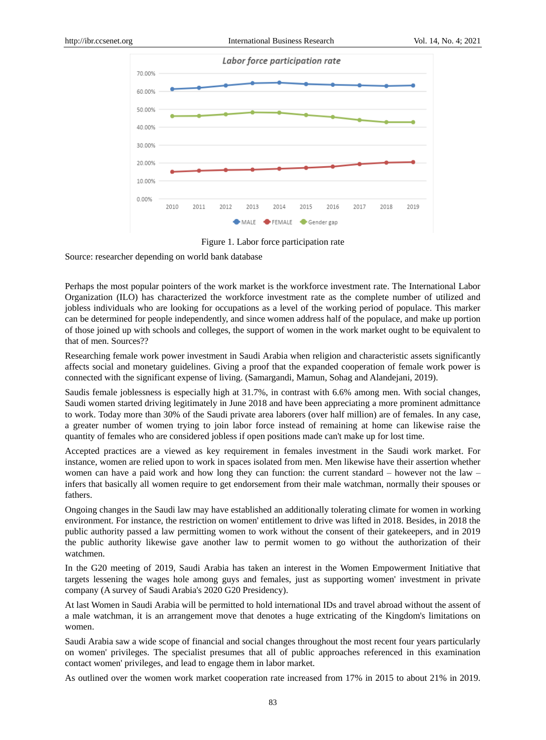



Source: researcher depending on world bank database

Perhaps the most popular pointers of the work market is the workforce investment rate. The International Labor Organization (ILO) has characterized the workforce investment rate as the complete number of utilized and jobless individuals who are looking for occupations as a level of the working period of populace. This marker can be determined for people independently, and since women address half of the populace, and make up portion of those joined up with schools and colleges, the support of women in the work market ought to be equivalent to that of men. Sources??

Researching female work power investment in Saudi Arabia when religion and characteristic assets significantly affects social and monetary guidelines. Giving a proof that the expanded cooperation of female work power is connected with the significant expense of living. (Samargandi, Mamun, Sohag and Alandejani, 2019).

Saudis female joblessness is especially high at 31.7%, in contrast with 6.6% among men. With social changes, Saudi women started driving legitimately in June 2018 and have been appreciating a more prominent admittance to work. Today more than 30% of the Saudi private area laborers (over half million) are of females. In any case, a greater number of women trying to join labor force instead of remaining at home can likewise raise the quantity of females who are considered jobless if open positions made can't make up for lost time.

Accepted practices are a viewed as key requirement in females investment in the Saudi work market. For instance, women are relied upon to work in spaces isolated from men. Men likewise have their assertion whether women can have a paid work and how long they can function: the current standard – however not the law – infers that basically all women require to get endorsement from their male watchman, normally their spouses or fathers.

Ongoing changes in the Saudi law may have established an additionally tolerating climate for women in working environment. For instance, the restriction on women' entitlement to drive was lifted in 2018. Besides, in 2018 the public authority passed a law permitting women to work without the consent of their gatekeepers, and in 2019 the public authority likewise gave another law to permit women to go without the authorization of their watchmen.

In the G20 meeting of 2019, Saudi Arabia has taken an interest in the Women Empowerment Initiative that targets lessening the wages hole among guys and females, just as supporting women' investment in private company (A survey of Saudi Arabia's 2020 G20 Presidency).

At last Women in Saudi Arabia will be permitted to hold international IDs and travel abroad without the assent of a male watchman, it is an arrangement move that denotes a huge extricating of the Kingdom's limitations on women.

Saudi Arabia saw a wide scope of financial and social changes throughout the most recent four years particularly on women' privileges. The specialist presumes that all of public approaches referenced in this examination contact women' privileges, and lead to engage them in labor market.

As outlined over the women work market cooperation rate increased from 17% in 2015 to about 21% in 2019.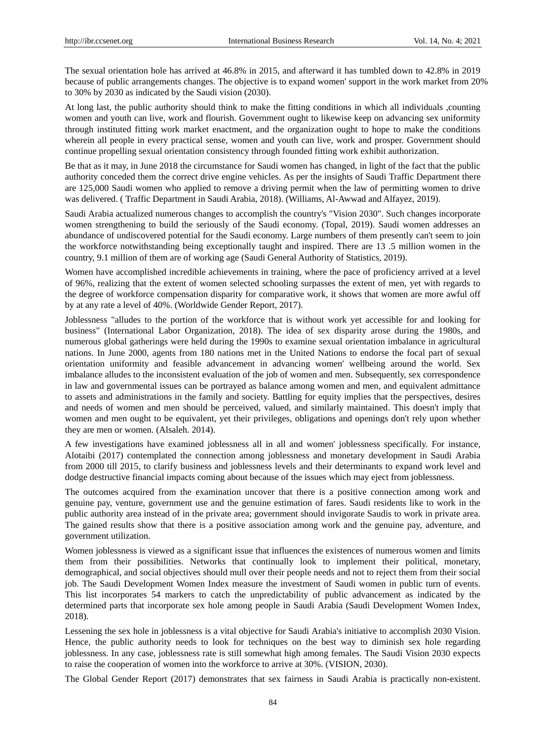The sexual orientation hole has arrived at 46.8% in 2015, and afterward it has tumbled down to 42.8% in 2019 because of public arrangements changes. The objective is to expand women' support in the work market from 20% to 30% by 2030 as indicated by the Saudi vision (2030).

At long last, the public authority should think to make the fitting conditions in which all individuals ,counting women and youth can live, work and flourish. Government ought to likewise keep on advancing sex uniformity through instituted fitting work market enactment, and the organization ought to hope to make the conditions wherein all people in every practical sense, women and youth can live, work and prosper. Government should continue propelling sexual orientation consistency through founded fitting work exhibit authorization.

Be that as it may, in June 2018 the circumstance for Saudi women has changed, in light of the fact that the public authority conceded them the correct drive engine vehicles. As per the insights of Saudi Traffic Department there are 125,000 Saudi women who applied to remove a driving permit when the law of permitting women to drive was delivered. ( Traffic Department in Saudi Arabia, 2018). (Williams, Al-Awwad and Alfayez, 2019).

Saudi Arabia actualized numerous changes to accomplish the country's "Vision 2030". Such changes incorporate women strengthening to build the seriously of the Saudi economy. (Topal, 2019). Saudi women addresses an abundance of undiscovered potential for the Saudi economy. Large numbers of them presently can't seem to join the workforce notwithstanding being exceptionally taught and inspired. There are 13 .5 million women in the country, 9.1 million of them are of working age (Saudi General Authority of Statistics, 2019).

Women have accomplished incredible achievements in training, where the pace of proficiency arrived at a level of 96%, realizing that the extent of women selected schooling surpasses the extent of men, yet with regards to the degree of workforce compensation disparity for comparative work, it shows that women are more awful off by at any rate a level of 40%. (Worldwide Gender Report, 2017).

Joblessness "alludes to the portion of the workforce that is without work yet accessible for and looking for business" (International Labor Organization, 2018). The idea of sex disparity arose during the 1980s, and numerous global gatherings were held during the 1990s to examine sexual orientation imbalance in agricultural nations. In June 2000, agents from 180 nations met in the United Nations to endorse the focal part of sexual orientation uniformity and feasible advancement in advancing women' wellbeing around the world. Sex imbalance alludes to the inconsistent evaluation of the job of women and men. Subsequently, sex correspondence in law and governmental issues can be portrayed as balance among women and men, and equivalent admittance to assets and administrations in the family and society. Battling for equity implies that the perspectives, desires and needs of women and men should be perceived, valued, and similarly maintained. This doesn't imply that women and men ought to be equivalent, yet their privileges, obligations and openings don't rely upon whether they are men or women. (Alsaleh. 2014).

A few investigations have examined joblessness all in all and women' joblessness specifically. For instance, Alotaibi (2017) contemplated the connection among joblessness and monetary development in Saudi Arabia from 2000 till 2015, to clarify business and joblessness levels and their determinants to expand work level and dodge destructive financial impacts coming about because of the issues which may eject from joblessness.

The outcomes acquired from the examination uncover that there is a positive connection among work and genuine pay, venture, government use and the genuine estimation of fares. Saudi residents like to work in the public authority area instead of in the private area; government should invigorate Saudis to work in private area. The gained results show that there is a positive association among work and the genuine pay, adventure, and government utilization.

Women joblessness is viewed as a significant issue that influences the existences of numerous women and limits them from their possibilities. Networks that continually look to implement their political, monetary, demographical, and social objectives should mull over their people needs and not to reject them from their social job. The Saudi Development Women Index measure the investment of Saudi women in public turn of events. This list incorporates 54 markers to catch the unpredictability of public advancement as indicated by the determined parts that incorporate sex hole among people in Saudi Arabia (Saudi Development Women Index, 2018).

Lessening the sex hole in joblessness is a vital objective for Saudi Arabia's initiative to accomplish 2030 Vision. Hence, the public authority needs to look for techniques on the best way to diminish sex hole regarding joblessness. In any case, joblessness rate is still somewhat high among females. The Saudi Vision 2030 expects to raise the cooperation of women into the workforce to arrive at 30%. (VISION, 2030).

The Global Gender Report (2017) demonstrates that sex fairness in Saudi Arabia is practically non-existent.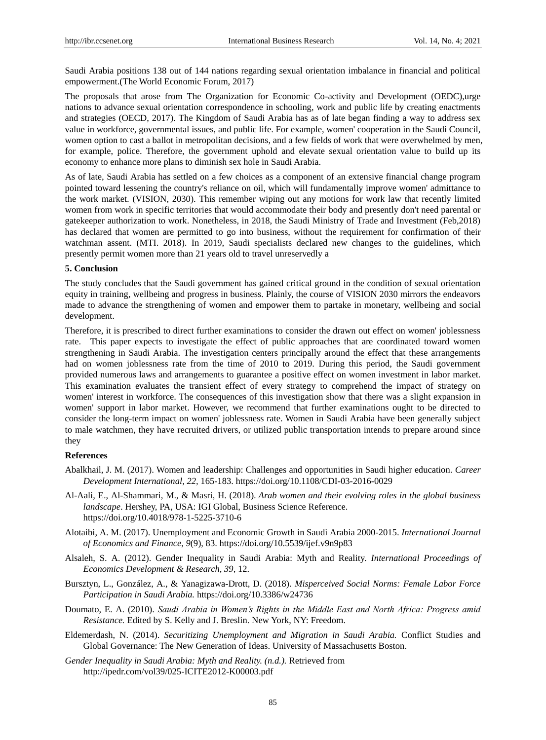Saudi Arabia positions 138 out of 144 nations regarding sexual orientation imbalance in financial and political empowerment.(The World Economic Forum, 2017)

The proposals that arose from The Organization for Economic Co-activity and Development (OEDC),urge nations to advance sexual orientation correspondence in schooling, work and public life by creating enactments and strategies (OECD, 2017). The Kingdom of Saudi Arabia has as of late began finding a way to address sex value in workforce, governmental issues, and public life. For example, women' cooperation in the Saudi Council, women option to cast a ballot in metropolitan decisions, and a few fields of work that were overwhelmed by men, for example, police. Therefore, the government uphold and elevate sexual orientation value to build up its economy to enhance more plans to diminish sex hole in Saudi Arabia.

As of late, Saudi Arabia has settled on a few choices as a component of an extensive financial change program pointed toward lessening the country's reliance on oil, which will fundamentally improve women' admittance to the work market. (VISION, 2030). This remember wiping out any motions for work law that recently limited women from work in specific territories that would accommodate their body and presently don't need parental or gatekeeper authorization to work. Nonetheless, in 2018, the Saudi Ministry of Trade and Investment (Feb,2018) has declared that women are permitted to go into business, without the requirement for confirmation of their watchman assent. (MTI. 2018). In 2019, Saudi specialists declared new changes to the guidelines, which presently permit women more than 21 years old to travel unreservedly a

#### **5. Conclusion**

The study concludes that the Saudi government has gained critical ground in the condition of sexual orientation equity in training, wellbeing and progress in business. Plainly, the course of VISION 2030 mirrors the endeavors made to advance the strengthening of women and empower them to partake in monetary, wellbeing and social development.

Therefore, it is prescribed to direct further examinations to consider the drawn out effect on women' joblessness rate. This paper expects to investigate the effect of public approaches that are coordinated toward women strengthening in Saudi Arabia. The investigation centers principally around the effect that these arrangements had on women joblessness rate from the time of 2010 to 2019. During this period, the Saudi government provided numerous laws and arrangements to guarantee a positive effect on women investment in labor market. This examination evaluates the transient effect of every strategy to comprehend the impact of strategy on women' interest in workforce. The consequences of this investigation show that there was a slight expansion in women' support in labor market. However, we recommend that further examinations ought to be directed to consider the long-term impact on women' joblessness rate. Women in Saudi Arabia have been generally subject to male watchmen, they have recruited drivers, or utilized public transportation intends to prepare around since they

#### **References**

- Abalkhail, J. M. (2017). Women and leadership: Challenges and opportunities in Saudi higher education. *Career Development International, 22,* 165-183. https://doi.org/10.1108/CDI-03-2016-0029
- Al-Aali, E., Al-Shammari, M., & Masri, H. (2018). *Arab women and their evolving roles in the global business landscape*. Hershey, PA, USA: IGI Global, Business Science Reference. https://doi.org/10.4018/978-1-5225-3710-6
- Alotaibi, A. M. (2017). Unemployment and Economic Growth in Saudi Arabia 2000-2015. *International Journal of Economics and Finance*, *9*(9), 83. https://doi.org/10.5539/ijef.v9n9p83
- Alsaleh, S. A. (2012). Gender Inequality in Saudi Arabia: Myth and Reality. *International Proceedings of Economics Development & Research, 39,* 12.
- Bursztyn, L., González, A., & Yanagizawa-Drott, D. (2018). *Misperceived Social Norms: Female Labor Force Participation in Saudi Arabia.* https://doi.org/10.3386/w24736
- Doumato, E. A. (2010). *Saudi Arabia in Women's Rights in the Middle East and North Africa: Progress amid Resistance.* Edited by S. Kelly and J. Breslin. New York, NY: Freedom.
- Eldemerdash, N. (2014). *Securitizing Unemployment and Migration in Saudi Arabia.* Conflict Studies and Global Governance: The New Generation of Ideas. University of Massachusetts Boston.
- *Gender Inequality in Saudi Arabia: Myth and Reality. (n.d.).* Retrieved from http://ipedr.com/vol39/025-ICITE2012-K00003.pdf